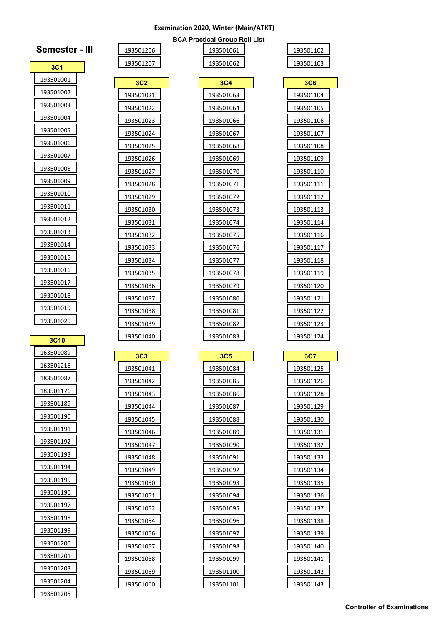## **Examination 2020, Winter (Main/ATKT) BCA Practical Group Roll List**

 

 

| 93501102 |  |
|----------|--|
| 13501103 |  |

| 3C6       |  |
|-----------|--|
| 193501104 |  |
| 193501105 |  |
| 193501106 |  |
| 193501107 |  |
| 193501108 |  |
| 193501109 |  |
| 193501110 |  |
| 193501111 |  |
| 193501112 |  |
| 193501113 |  |
| 193501114 |  |
| 193501116 |  |
| 193501117 |  |
| 193501118 |  |
| 193501119 |  |
| 193501120 |  |
| 193501121 |  |
| 193501122 |  |
| 193501123 |  |
| 193501124 |  |
|           |  |
| 3C7       |  |
| 193501125 |  |
| 193501126 |  |
| 193501128 |  |
| 193501129 |  |
| 193501130 |  |
| 193501131 |  |
| 193501132 |  |
| 193501133 |  |

| 3C4               |  |
|-------------------|--|
| 193501063         |  |
| 193501064         |  |
| 193501066         |  |
| 193501067         |  |
| 193501068         |  |
| 193501069         |  |
| 193501070         |  |
| 193501071         |  |
| <u> 193501072</u> |  |
| 193501073         |  |
| 193501074         |  |
| 193501075         |  |
| 193501076         |  |
| 193501077         |  |
| 193501078         |  |
| 193501079         |  |
| 193501080         |  |
| 193501081         |  |
|                   |  |
| 193501082         |  |
| <u>193501083</u>  |  |
| <b>3C5</b>        |  |
| 193501084         |  |
| 193501085         |  |
| 193501086         |  |
| 193501087         |  |
| 193501088         |  |
| 193501089         |  |
| 193501090         |  |
| 193501091         |  |
| 193501092         |  |
| 193501093         |  |
| 193501094         |  |
| 193501095         |  |
| 193501096         |  |
| 193501097         |  |
| 193501098         |  |
| 193501099         |  |
| 193501100         |  |

| Semester -       |
|------------------|
| 3C <sub>1</sub>  |
| 193501001        |
| 193501002        |
| 193501003        |
| 193501004        |
| 193501005        |
| 193501006        |
| 193501007        |
| 193501008        |
| 193501009        |
| 193501010        |
| 193501011        |
| 193501012        |
| 193501013        |
| 193501014        |
| <u>193501015</u> |
| 193501016        |
| <u>193501017</u> |
| <u>193501018</u> |
| 193501019        |
| 193501020        |
| 3C10             |

| <b>3C10</b> |
|-------------|
| 163501089   |
| 163501216   |
| 183501087   |
| 183501176   |
| 193501189   |
| 193501190   |
| 193501191   |
| 193501192   |
| 193501193   |
| 193501194   |
| 193501195   |
| 193501196   |
| 193501197   |
| 193501198   |
| 193501199   |
| 193501200   |
| 193501201   |
| 193501203   |
| 193501204   |
| 193501205   |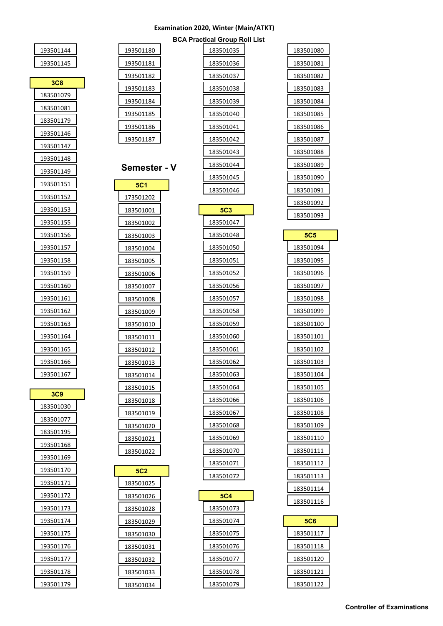## **Examination 2020, Winter (Main/ATKT)**

| $\frac{5}{1}$           | 183501080        |
|-------------------------|------------------|
| 6                       | 183501081        |
| $\overline{ }$          | 183501082        |
| 8                       | 183501083        |
| $\frac{9}{1}$           | 183501084        |
| 0                       | 183501085        |
| $\mathbf{1}$            | 183501086        |
| $\frac{2}{1}$           | 183501087        |
| $\overline{\mathbf{3}}$ | 183501088        |
| $\frac{4}{1}$           | 183501089        |
| $\overline{5}$          | 183501090        |
| 6                       | 183501091        |
|                         | <u>183501092</u> |
| 7                       | 183501093        |
| 8                       | 5C5              |
| 0                       | 183501094        |
| $\overline{1}$          | 183501095        |
| $\frac{2}{1}$           | 183501096        |
| 6                       | 183501097        |
| $\overline{1}$          | 183501098        |
| 8                       | 183501099        |
| $\overline{9}$          | 183501100        |
| $\overline{0}$          | 183501101        |
| $\frac{1}{1}$           | 183501102        |
| $\overline{2}$          | 183501103        |
| 3                       | <u>183501104</u> |
| 4                       | 183501105        |
| 6                       | 183501106        |
| $\overline{1}$          | 183501108        |
| 8                       | 183501109        |
| $\overline{a}$          | 183501110        |
| $\overline{0}$          | 183501111        |
| $\overline{1}$          | 183501112        |
| $\overline{2}$          | 183501113        |
|                         | 183501114        |
|                         | 183501116        |
| з                       |                  |
| 4                       | 5C6              |
| $\frac{5}{1}$           | <u>183501117</u> |
| $\frac{6}{1}$           | 183501118        |
| $\overline{1}$          | 183501120        |
| 8<br>9                  | 183501121        |
|                         | 183501122        |

| 193501180        | 183501035              |
|------------------|------------------------|
| 193501181        | 183501036              |
|                  |                        |
| 193501182        | 183501037              |
| 193501183        | 183501038              |
| 193501184        | 183501039              |
| 193501185        | 183501040              |
| <u>193501186</u> | 183501041              |
| 193501187        | 183501042              |
|                  | 183501043              |
| Semester - V     | 183501044              |
| <b>5C1</b>       | 183501045              |
| 173501202        | 183501046              |
| 183501001        | <b>5C3</b>             |
| 183501002        | 183501047              |
| 183501003        | 183501048              |
| 183501004        | 183501050              |
| 183501005        | 183501051              |
| 183501006        | 183501052              |
| 183501007        | 183501056              |
| 183501008        | 183501057              |
| 183501009        | 183501058              |
| 183501010        | 183501059              |
| 183501011        | 183501060              |
| 183501012        | 183501061              |
| 183501013        | 183501062              |
| <u>183501014</u> | 183501063              |
| 183501015        | 183501064              |
| 183501018        | 183501066              |
| 183501019        | 183501067              |
| 183501020        | 183501068              |
| 183501021        | 183501069              |
| 183501022        | 183501070              |
|                  | 183501071              |
| <b>5C2</b>       | 183501072              |
| 183501025        |                        |
| 183501026        | 5C4                    |
| 183501028        | 183501073<br>183501074 |
| 183501029        |                        |
| 183501030        | 183501075<br>183501076 |
| 183501031        | 183501077              |
| 183501032        | 183501078              |
| 183501033        | 183501079              |
| 183501034        |                        |

| 193501144         |  |
|-------------------|--|
| 193501145         |  |
| 3C8               |  |
| 183501079         |  |
| 183501081         |  |
| 183501179         |  |
| 193501146         |  |
| 193501147         |  |
| 193501148         |  |
| 193501149         |  |
| 193501151         |  |
| 193501152         |  |
| 193501153         |  |
| 193501155         |  |
| <u> 193501156</u> |  |
| 193501157         |  |
| 193501158         |  |
| 193501159         |  |
| 193501160         |  |
| 193501161         |  |
| 193501162         |  |
| <u>193501163</u>  |  |
| 193501164         |  |
| 193501165         |  |
| 193501166         |  |
| 193501167         |  |
| 3C9               |  |
| 183501030         |  |
| 183501077         |  |
| 183501195         |  |
| 193501168         |  |
| 193501169         |  |
| 193501170         |  |
| 193501171         |  |

| 193501146         |  |
|-------------------|--|
| 193501147         |  |
| <u>1935011</u> 48 |  |
| 193501149         |  |
| 193501151         |  |
| 193501152         |  |
| <u> 193501153</u> |  |
| 193501155         |  |
| 193501156         |  |
| 193501157         |  |
| 193501158         |  |
| 193501159         |  |
| 193501160         |  |
| 193501161         |  |
| 193501162         |  |
| <u>193501163</u>  |  |
| 193501164         |  |
| <u>193501165</u>  |  |
|                   |  |
| 193501166         |  |
| 193501167         |  |
|                   |  |
| 3C9               |  |
| 183501030         |  |
| 183501077         |  |
| 183501195         |  |
| <u>193501168</u>  |  |
| 19350116(<br>J    |  |
| 193501170         |  |
| 193501171         |  |
| 193501172         |  |
| 193501173         |  |
| 193501174         |  |
| 193501175         |  |
| 193501176         |  |
| 193501177         |  |
| 193501178         |  |